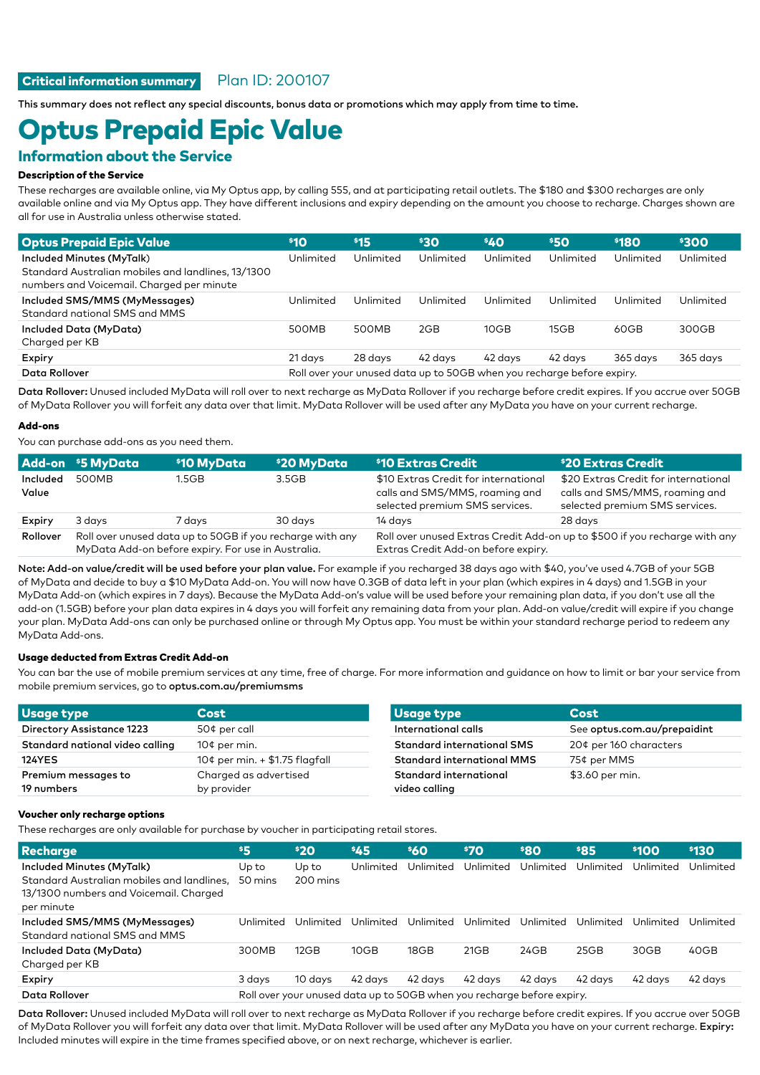This summary does not reflect any special discounts, bonus data or promotions which may apply from time to time.

# Optus Prepaid Epic Value

# Information about the Service

## Description of the Service

These recharges are available online, via My Optus app, by calling 555, and at participating retail outlets. The \$180 and \$300 recharges are only available online and via My Optus app. They have different inclusions and expiry depending on the amount you choose to recharge. Charges shown are all for use in Australia unless otherwise stated.

| <b>Optus Prepaid Epic Value</b>                                                                                              | \$10                                                                   | 515       | \$30      | \$40      | <b>\$50</b> | \$180     | \$300     |
|------------------------------------------------------------------------------------------------------------------------------|------------------------------------------------------------------------|-----------|-----------|-----------|-------------|-----------|-----------|
| Included Minutes (MyTalk)<br>Standard Australian mobiles and landlines, 13/1300<br>numbers and Voicemail. Charged per minute | Unlimited                                                              | Unlimited | Unlimited | Unlimited | Unlimited   | Unlimited | Unlimited |
| Included SMS/MMS (MyMessages)<br>Standard national SMS and MMS                                                               | Unlimited                                                              | Unlimited | Unlimited | Unlimited | Unlimited   | Unlimited | Unlimited |
| Included Data (MyData)<br>Charged per KB                                                                                     | 500MB                                                                  | 500MB     | 2GB       | 10GB      | 15GB        | 60GB      | 300GB     |
| Expiry                                                                                                                       | 21 days                                                                | 28 days   | 42 days   | 42 days   | 42 days     | 365 days  | 365 days  |
| Data Rollover                                                                                                                | Roll over your unused data up to 50GB when you recharge before expiry. |           |           |           |             |           |           |

Data Rollover: Unused included MyData will roll over to next recharge as MyData Rollover if you recharge before credit expires. If you accrue over 50GB of MyData Rollover you will forfeit any data over that limit. MyData Rollover will be used after any MyData you have on your current recharge.

#### Add-ons

You can purchase add-ons as you need them.

|                   | Add-on \$5 MyData                                         | \$10 MyData | \$20 MyData | <sup>\$10</sup> Extras Credit                                                                            | \$20 Extras Credit                                                                                       |  |  |  |
|-------------------|-----------------------------------------------------------|-------------|-------------|----------------------------------------------------------------------------------------------------------|----------------------------------------------------------------------------------------------------------|--|--|--|
| Included<br>Value | 500MB                                                     | 1.5GB       | 3.5GB       | \$10 Extras Credit for international<br>calls and SMS/MMS, roaming and<br>selected premium SMS services. | \$20 Extras Credit for international<br>calls and SMS/MMS, roaming and<br>selected premium SMS services. |  |  |  |
| Expiry            | 3 days                                                    | 7 days      | 30 days     | 14 days                                                                                                  | 28 days                                                                                                  |  |  |  |
| Rollover          | Roll over unused data up to 50GB if you recharge with any |             |             | Roll over unused Extras Credit Add-on up to \$500 if you recharge with any                               |                                                                                                          |  |  |  |
|                   | MyData Add-on before expiry. For use in Australia.        |             |             | Extras Credit Add-on before expiry.                                                                      |                                                                                                          |  |  |  |

Note: Add-on value/credit will be used before your plan value. For example if you recharged 38 days ago with \$40, you've used 4.7GB of your 5GB of MyData and decide to buy a \$10 MyData Add-on. You will now have 0.3GB of data left in your plan (which expires in 4 days) and 1.5GB in your MyData Add-on (which expires in 7 days). Because the MyData Add-on's value will be used before your remaining plan data, if you don't use all the add-on (1.5GB) before your plan data expires in 4 days you will forfeit any remaining data from your plan. Add-on value/credit will expire if you change your plan. MyData Add-ons can only be purchased online or through My Optus app. You must be within your standard recharge period to redeem any MyData Add-ons.

## Usage deducted from Extras Credit Add-on

You can bar the use of mobile premium services at any time, free of charge. For more information and guidance on how to limit or bar your service from mobile premium services, go to [optus.com.au/premiumsms](http://optus.com.au/premiumsms)

| <b>Usage type</b>                 | <b>Cost</b>                          | <b>Usage type</b>                       | <b>Cost</b>                 |
|-----------------------------------|--------------------------------------|-----------------------------------------|-----------------------------|
| <b>Directory Assistance 1223</b>  | 50¢ per call                         | International calls                     | See optus.com.au/prepaidint |
| Standard national video calling   | $10¢$ per min.                       | <b>Standard international SMS</b>       | 20¢ per 160 characters      |
| <b>124YES</b>                     | 10¢ per min. + \$1.75 flagfall       | <b>Standard international MMS</b>       | 75¢ per MMS                 |
| Premium messages to<br>19 numbers | Charged as advertised<br>by provider | Standard international<br>video calling | \$3.60 per min.             |

#### Voucher only recharge options

These recharges are only available for purchase by voucher in participating retail stores.

| <b>Recharge</b>                                                                                                                 | 55                                                                     | \$20                        | \$45      | <b>\$60</b> | \$70      | \$80      | <b>\$85</b> | \$100     | \$130     |
|---------------------------------------------------------------------------------------------------------------------------------|------------------------------------------------------------------------|-----------------------------|-----------|-------------|-----------|-----------|-------------|-----------|-----------|
| Included Minutes (MyTalk)<br>Standard Australian mobiles and landlines.<br>13/1300 numbers and Voicemail. Charged<br>per minute | Up to<br>50 mins                                                       | Up to<br>$200 \text{ mins}$ | Unlimited | Unlimited   | Unlimited | Unlimited | Unlimited   | Unlimited | Unlimited |
| Included SMS/MMS (MyMessages)<br>Standard national SMS and MMS                                                                  | Unlimited                                                              | Unlimited                   | Unlimited | Unlimited   | Unlimited | Unlimited | Unlimited   | Unlimited | Unlimited |
| Included Data (MyData)<br>Charged per KB                                                                                        | 300MB                                                                  | 12GB                        | 10GB      | 18GB        | 21GB      | 24GB      | 25GB        | 30GB      | 40GB      |
| Expiry                                                                                                                          | 3 days                                                                 | 10 days                     | 42 days   | 42 days     | 42 days   | 42 days   | 42 days     | 42 days   | 42 days   |
| Data Rollover                                                                                                                   | Roll over your unused data up to 50GB when you recharge before expiry. |                             |           |             |           |           |             |           |           |

Data Rollover: Unused included MyData will roll over to next recharge as MyData Rollover if you recharge before credit expires. If you accrue over 50GB of MyData Rollover you will forfeit any data over that limit. MyData Rollover will be used after any MyData you have on your current recharge. Expiry: Included minutes will expire in the time frames specified above, or on next recharge, whichever is earlier.